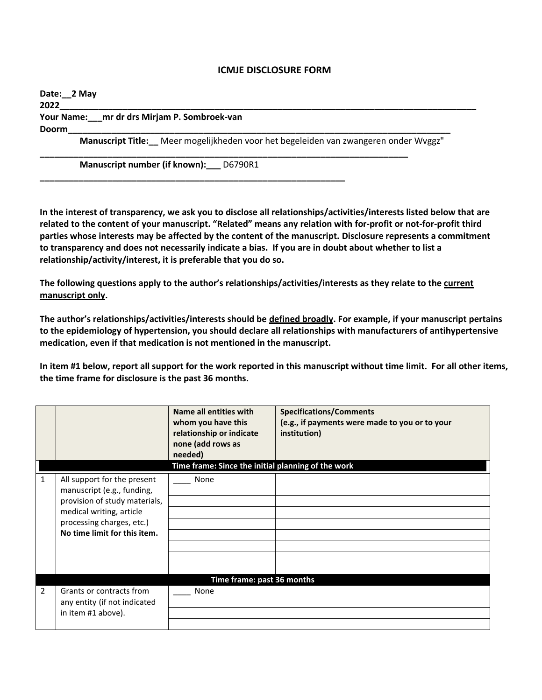## **ICMJE DISCLOSURE FORM**

| Date: 2 May                                                                         |  |  |  |  |  |  |
|-------------------------------------------------------------------------------------|--|--|--|--|--|--|
| 2022                                                                                |  |  |  |  |  |  |
| Your Name: mr dr drs Mirjam P. Sombroek-van                                         |  |  |  |  |  |  |
| <b>Doorm</b>                                                                        |  |  |  |  |  |  |
| Manuscript Title: Meer mogelijkheden voor het begeleiden van zwangeren onder Wyggz" |  |  |  |  |  |  |

**Manuscript number (if known):\_\_\_** D6790R1

**\_\_\_\_\_\_\_\_\_\_\_\_\_\_\_\_\_\_\_\_\_\_\_\_\_\_\_\_\_\_\_\_\_\_\_\_\_\_\_\_\_\_\_\_\_\_\_\_\_\_\_\_\_\_\_\_\_\_\_\_\_\_\_**

**In the interest of transparency, we ask you to disclose all relationships/activities/interests listed below that are related to the content of your manuscript. "Related" means any relation with for-profit or not-for-profit third parties whose interests may be affected by the content of the manuscript. Disclosure represents a commitment to transparency and does not necessarily indicate a bias. If you are in doubt about whether to list a relationship/activity/interest, it is preferable that you do so.** 

**The following questions apply to the author's relationships/activities/interests as they relate to the current manuscript only.**

**The author's relationships/activities/interests should be defined broadly. For example, if your manuscript pertains to the epidemiology of hypertension, you should declare all relationships with manufacturers of antihypertensive medication, even if that medication is not mentioned in the manuscript.** 

**In item #1 below, report all support for the work reported in this manuscript without time limit. For all other items, the time frame for disclosure is the past 36 months.** 

|               |                                                           | Name all entities with<br>whom you have this<br>relationship or indicate<br>none (add rows as<br>needed) | <b>Specifications/Comments</b><br>(e.g., if payments were made to you or to your<br>institution) |  |  |
|---------------|-----------------------------------------------------------|----------------------------------------------------------------------------------------------------------|--------------------------------------------------------------------------------------------------|--|--|
|               | Time frame: Since the initial planning of the work        |                                                                                                          |                                                                                                  |  |  |
| 1             | All support for the present<br>manuscript (e.g., funding, | None                                                                                                     |                                                                                                  |  |  |
|               | provision of study materials,                             |                                                                                                          |                                                                                                  |  |  |
|               | medical writing, article                                  |                                                                                                          |                                                                                                  |  |  |
|               | processing charges, etc.)                                 |                                                                                                          |                                                                                                  |  |  |
|               | No time limit for this item.                              |                                                                                                          |                                                                                                  |  |  |
|               |                                                           |                                                                                                          |                                                                                                  |  |  |
|               |                                                           |                                                                                                          |                                                                                                  |  |  |
|               |                                                           |                                                                                                          |                                                                                                  |  |  |
|               | Time frame: past 36 months                                |                                                                                                          |                                                                                                  |  |  |
| $\mathcal{P}$ | Grants or contracts from<br>any entity (if not indicated  | None                                                                                                     |                                                                                                  |  |  |
|               | in item #1 above).                                        |                                                                                                          |                                                                                                  |  |  |
|               |                                                           |                                                                                                          |                                                                                                  |  |  |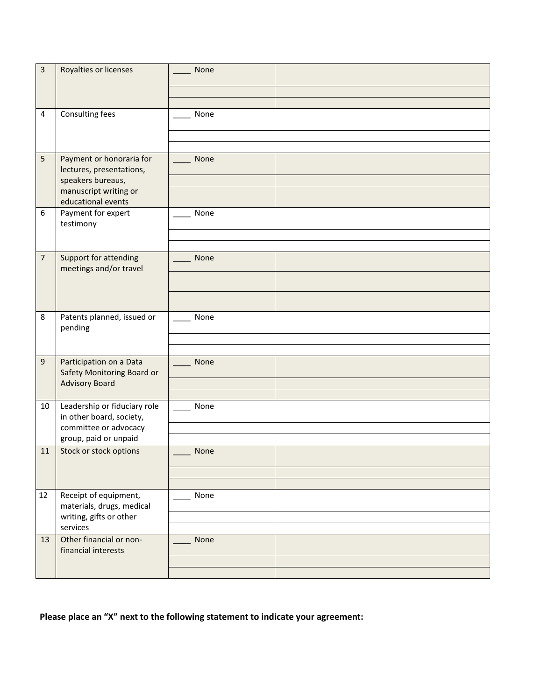| 3              | Royalties or licenses                                    | None |  |
|----------------|----------------------------------------------------------|------|--|
|                |                                                          |      |  |
|                |                                                          |      |  |
| $\overline{4}$ | Consulting fees                                          | None |  |
|                |                                                          |      |  |
|                |                                                          |      |  |
| 5              | Payment or honoraria for<br>lectures, presentations,     | None |  |
|                | speakers bureaus,                                        |      |  |
|                | manuscript writing or<br>educational events              |      |  |
| 6              | Payment for expert<br>testimony                          | None |  |
|                |                                                          |      |  |
|                |                                                          |      |  |
| $\overline{7}$ | Support for attending<br>meetings and/or travel          | None |  |
|                |                                                          |      |  |
|                |                                                          |      |  |
| 8              | Patents planned, issued or<br>pending                    | None |  |
|                |                                                          |      |  |
|                |                                                          |      |  |
| 9              | Participation on a Data<br>Safety Monitoring Board or    | None |  |
|                | <b>Advisory Board</b>                                    |      |  |
|                |                                                          |      |  |
| 10             | Leadership or fiduciary role<br>in other board, society, | None |  |
|                | committee or advocacy                                    |      |  |
|                | group, paid or unpaid                                    |      |  |
| 11             | Stock or stock options                                   | None |  |
|                |                                                          |      |  |
|                |                                                          |      |  |
| 12             | Receipt of equipment,<br>materials, drugs, medical       | None |  |
|                | writing, gifts or other<br>services                      |      |  |
| 13             | Other financial or non-                                  | None |  |
|                | financial interests                                      |      |  |
|                |                                                          |      |  |
|                |                                                          |      |  |

**Please place an "X" next to the following statement to indicate your agreement:**